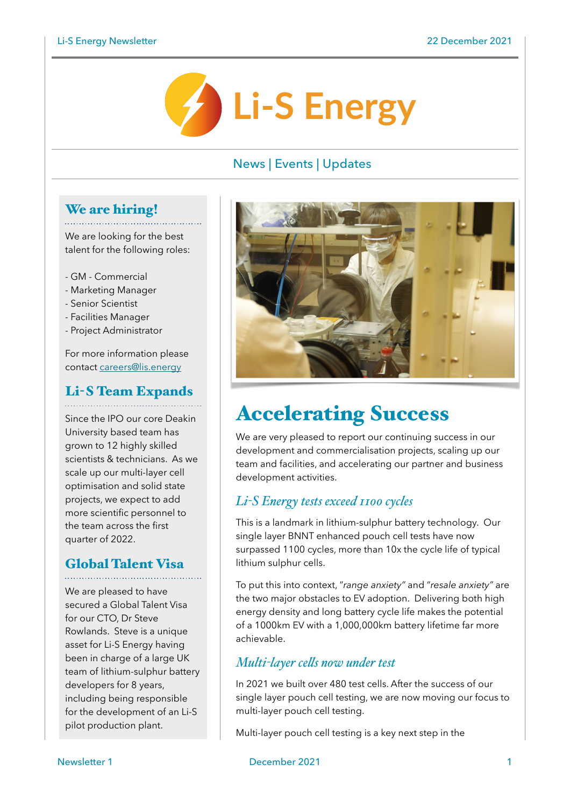

## News | Events | Updates

#### We are hiring!

We are looking for the best 115 are recently for the sect-<br>talent for the following roles:

- GM Commercial
- Marketing Manager
- Senior Scientist
- Facilities Manager
- Project Administrator

For more information please contact [careers@lis.energy](mailto:careers@lis.energy)

# Li-S Team Expands

Since the IPO our core Deakin University based team has grown to 12 highly skilled scientists & technicians. As we scale up our multi-layer cell optimisation and solid state projects, we expect to add more scientific personnel to the team across the first quarter of 2022.

## Global Talent Visa

We are pleased to have secured a Global Talent Visa for our CTO, Dr Steve Rowlands. Steve is a unique asset for Li-S Energy having been in charge of a large UK team of lithium-sulphur battery developers for 8 years, including being responsible for the development of an Li-S pilot production plant.



# Accelerating Success

We are very pleased to report our continuing success in our development and commercialisation projects, scaling up our team and facilities, and accelerating our partner and business development activities.

### *Li-S Energy tests exceed 1100 cycles*

This is a landmark in lithium-sulphur battery technology. Our single layer BNNT enhanced pouch cell tests have now surpassed 1100 cycles, more than 10x the cycle life of typical lithium sulphur cells.

To put this into context, "*range anxiety"* and "*resale anxiety"* are the two major obstacles to EV adoption. Delivering both high energy density and long battery cycle life makes the potential of a 1000km EV with a 1,000,000km battery lifetime far more achievable.

### *Multi-layer cells now under test*

In 2021 we built over 480 test cells. After the success of our single layer pouch cell testing, we are now moving our focus to multi-layer pouch cell testing.

Multi-layer pouch cell testing is a key next step in the